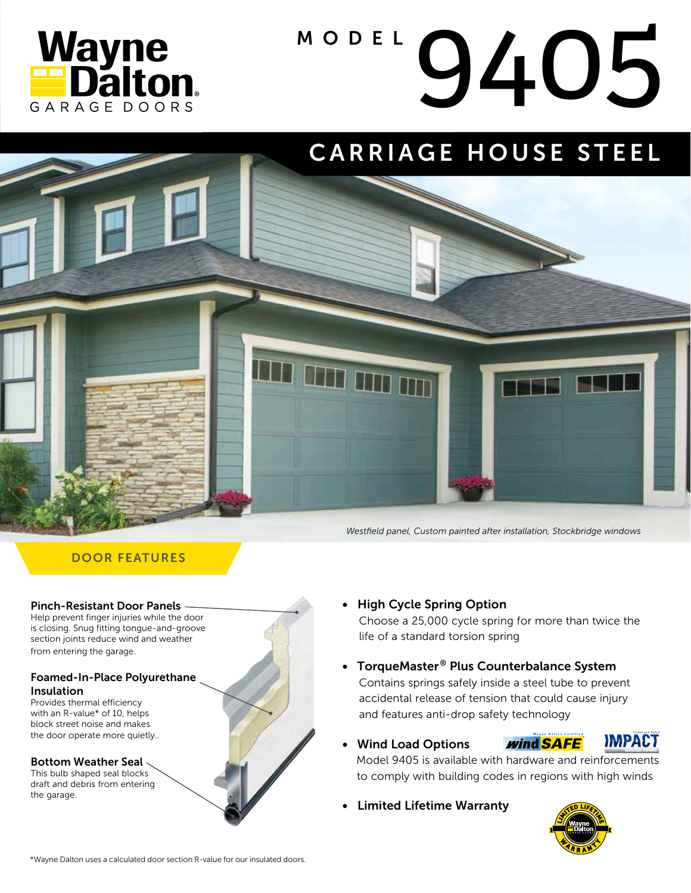

# MODEL 9405

### CARRIAGE HOUSE STEEL



#### DOOR FEATURES

#### Pinch-Resistant Door Panels

Help prevent finger injuries while the door is closing. Snug fitting tongue-and-groove section joints reduce wind and weather from entering the garage.

#### Foamed-In-Place Polyurethane Insulation

Provides thermal efficiency with an R-value\* of 10, helps block street noise and makes the door operate more quietly..

#### Bottom Weather Seal

This bulb shaped seal blocks draft and debris from entering the garage.



• High Cycle Spring Option

 Choose a 25,000 cycle spring for more than twice the life of a standard torsion spring

*Westfield panel, Custom painted after installation, Stockbridge windows*

- TorqueMaster® Plus Counterbalance System Contains springs safely inside a steel tube to prevent accidental release of tension that could cause injury and features anti-drop safety technology
- Wind Load Options





 Model 9405 is available with hardware and reinforcements to comply with building codes in regions with high winds

• Limited Lifetime Warranty



\*Wayne Dalton uses a calculated door section R-value for our insulated doors.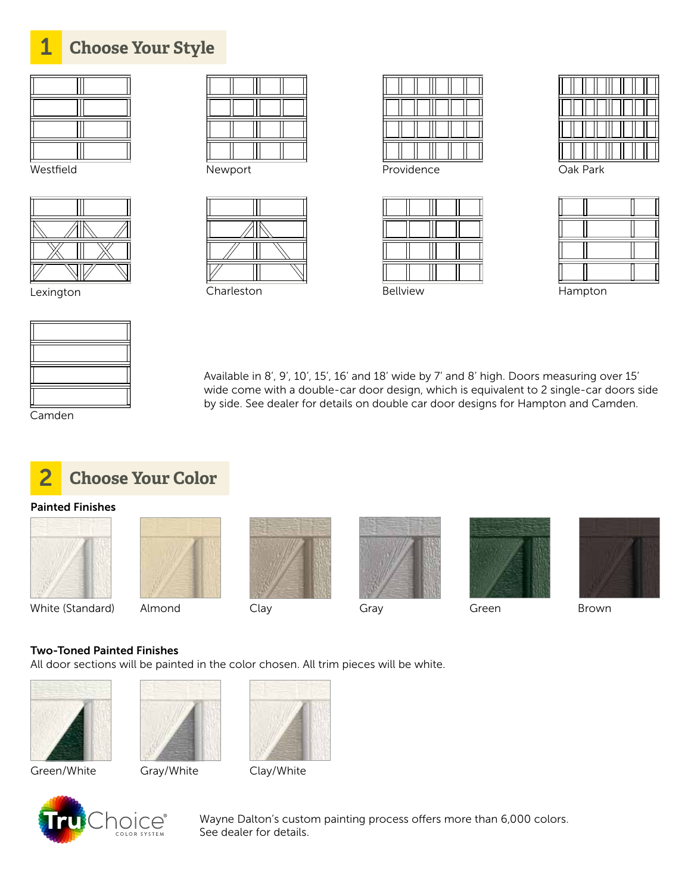

Newport



Lexington Charleston Bellview Hampton

Westfield Providence Oak Park

| Oak Park |  |
|----------|--|
|          |  |
|          |  |
|          |  |
|          |  |

Available in 8', 9', 10', 15', 16' and 18' wide by 7' and 8' high. Doors measuring over 15' wide come with a double-car door design, which is equivalent to 2 single-car doors side by side. See dealer for details on double car door designs for Hampton and Camden.

Camden



#### Painted Finishes











White (Standard) Almond Clay Gray Gray Green Brown



#### Two-Toned Painted Finishes

All door sections will be painted in the color chosen. All trim pieces will be white.



Green/White Gray/White Clay/White







Wayne Dalton's custom painting process offers more than 6,000 colors. See dealer for details.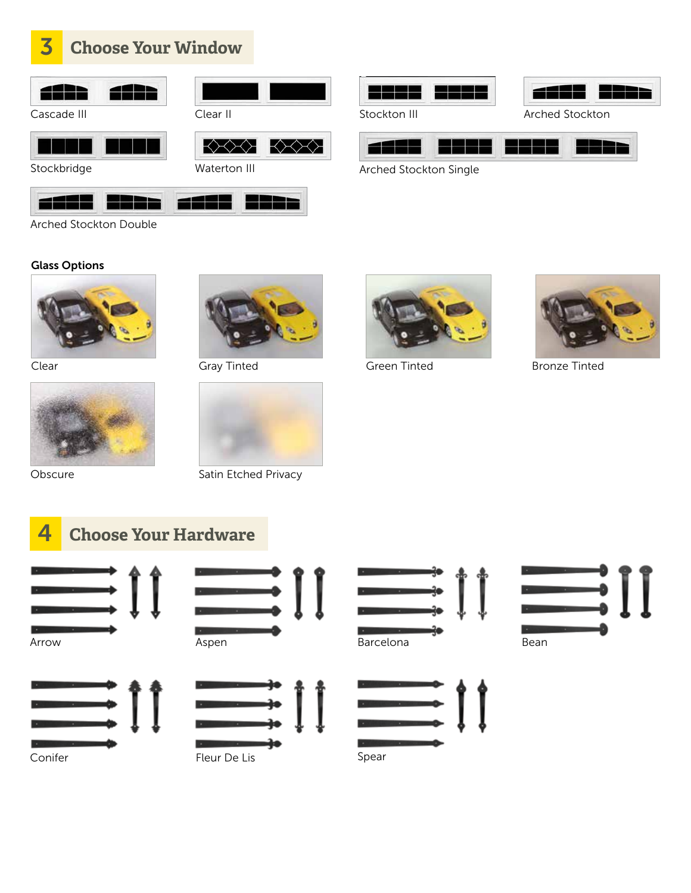

Cascade III Clear II



H Stockbridge





Arched Stockton Double

#### Glass Options



Clear







Obscure Satin Etched Privacy





Stockton III Arched Stockton



Arched Stockton Single





Gray Tinted Green Tinted Bronze Tinted









[ ]